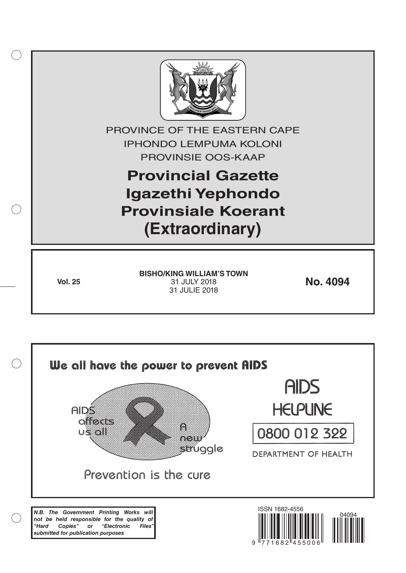

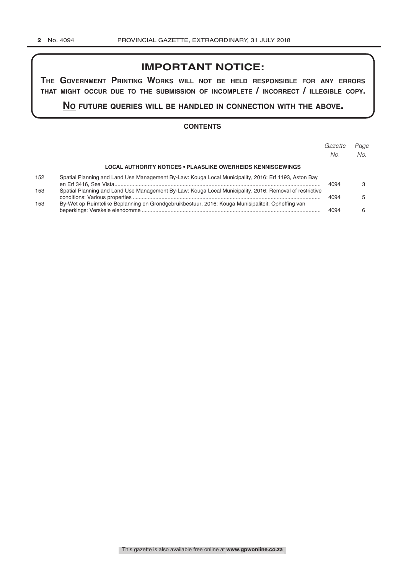# **IMPORTANT NOTICE:**

**The GovernmenT PrinTinG Works Will noT be held resPonsible for any errors ThaT miGhT occur due To The submission of incomPleTe / incorrecT / illeGible coPy.**

**no fuTure queries Will be handled in connecTion WiTh The above.**

#### **CONTENTS**

|     |                                                                                                         | Gazette<br>No. | Page<br>No. |
|-----|---------------------------------------------------------------------------------------------------------|----------------|-------------|
|     | <b>LOCAL AUTHORITY NOTICES • PLAASLIKE OWERHEIDS KENNISGEWINGS</b>                                      |                |             |
| 152 | Spatial Planning and Land Use Management By-Law: Kouga Local Municipality, 2016: Erf 1193, Aston Bay    | 4094           |             |
| 153 | Spatial Planning and Land Use Management By-Law: Kouga Local Municipality, 2016: Removal of restrictive | 4094           |             |
| 153 | By-Wet op Ruimtelike Beplanning en Grondgebruikbestuur, 2016: Kouga Munisipaliteit: Opheffing van       | 4094           | հ           |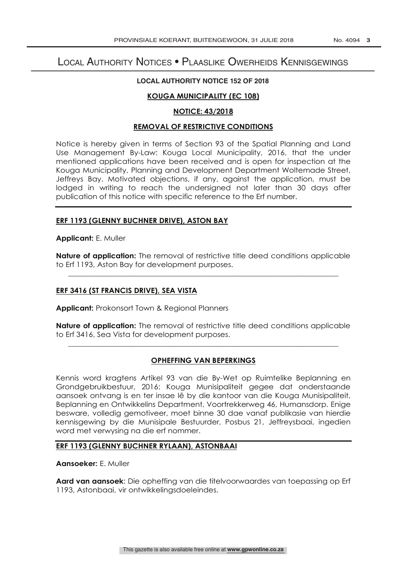# Local Authority Notices • Plaaslike Owerheids Kennisgewings

#### **LOCAL AUTHORITY NOTICE 152 OF 2018**

# **KOUGA MUNICIPALITY (EC 108)**

# **NOTICE: 43/2018**

# **REMOVAL OF RESTRICTIVE CONDITIONS**

Notice is hereby given in terms of Section 93 of the Spatial Planning and Land Use Management By-Law: Kouga Local Municipality, 2016, that the under mentioned applications have been received and is open for inspection at the Kouga Municipality, Planning and Development Department Woltemade Street, Jeffreys Bay. Motivated objections, if any, against the application, must be lodged in writing to reach the undersigned not later than 30 days after publication of this notice with specific reference to the Erf number.

# **ERF 1193 (GLENNY BUCHNER DRIVE), ASTON BAY**

**Applicant:** E. Muller

**Nature of application:** The removal of restrictive title deed conditions applicable to Erf 1193, Aston Bay for development purposes.

\_\_\_\_\_\_\_\_\_\_\_\_\_\_\_\_\_\_\_\_\_\_\_\_\_\_\_\_\_\_\_\_\_\_\_\_\_\_\_\_\_\_\_\_\_\_\_\_\_\_\_\_\_\_\_\_\_\_\_\_\_\_\_\_\_\_\_\_\_\_\_\_

#### **ERF 3416 (ST FRANCIS DRIVE), SEA VISTA**

**Applicant:** Prokonsort Town & Regional Planners

**Nature of application:** The removal of restrictive title deed conditions applicable to Erf 3416, Sea Vista for development purposes. \_\_\_\_\_\_\_\_\_\_\_\_\_\_\_\_\_\_\_\_\_\_\_\_\_\_\_\_\_\_\_\_\_\_\_\_\_\_\_\_\_\_\_\_\_\_\_\_\_\_\_\_\_\_\_\_\_\_\_\_\_\_\_\_\_\_\_\_\_\_\_\_

# **OPHEFFING VAN BEPERKINGS**

Kennis word kragtens Artikel 93 van die By-Wet op Ruimtelike Beplanning en Grondgebruikbestuur, 2016: Kouga Munisipaliteit gegee dat onderstaande aansoek ontvang is en ter insae lê by die kantoor van die Kouga Munisipaliteit, Beplanning en Ontwikkelins Department, Voortrekkerweg 46, Humansdorp. Enige besware, volledig gemotiveer, moet binne 30 dae vanaf publikasie van hierdie kennisgewing by die Munisipale Bestuurder, Posbus 21, Jeffreysbaai, ingedien word met verwysing na die erf nommer.

# **ERF 1193 (GLENNY BUCHNER RYLAAN), ASTONBAAI**

**Aansoeker:** E. Muller

**Aard van aansoek**: Die opheffing van die titelvoorwaardes van toepassing op Erf 1193, Astonbaai, vir ontwikkelingsdoeleindes.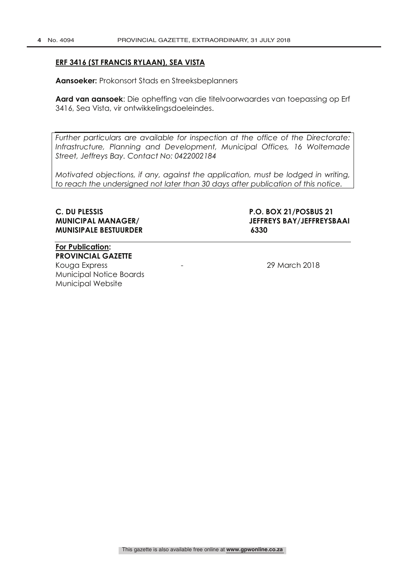# **ERF 3416 (ST FRANCIS RYLAAN), SEA VISTA**

**Aansoeker:** Prokonsort Stads en Streeksbeplanners

**Aard van aansoek**: Die opheffing van die titelvoorwaardes van toepassing op Erf 3416, Sea Vista, vir ontwikkelingsdoeleindes.

*Further particulars are available for inspection at the office of the Directorate: Infrastructure, Planning and Development, Municipal Offices, 16 Woltemade Street, Jeffreys Bay. Contact No: 0422002184*

*Motivated objections, if any, against the application, must be lodged in writing, to reach the undersigned not later than 30 days after publication of this notice.*

# **MUNISIPALE BESTUURDER 6330**

**C. DU PLESSIS P.O. BOX 21/POSBUS 21 MUNICIPAL MANAGER/ JEFFREYS BAY/JEFFREYSBAAI**

**For Publication: PROVINCIAL GAZETTE** Kouga Express - 29 March 2018 Municipal Notice Boards Municipal Website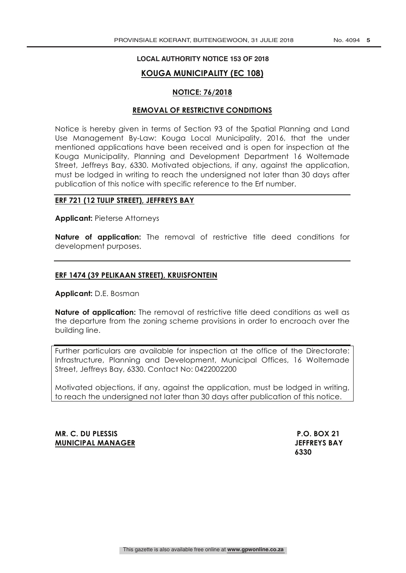#### **LOCAL AUTHORITY NOTICE 153 OF 2018**

# **KOUGA MUNICIPALITY (EC 108)**

#### **NOTICE: 76/2018**

#### **REMOVAL OF RESTRICTIVE CONDITIONS**

Notice is hereby given in terms of Section 93 of the Spatial Planning and Land Use Management By-Law: Kouga Local Municipality, 2016, that the under mentioned applications have been received and is open for inspection at the Kouga Municipality, Planning and Development Department 16 Woltemade Street, Jeffreys Bay, 6330. Motivated objections, if any, against the application, must be lodged in writing to reach the undersigned not later than 30 days after publication of this notice with specific reference to the Erf number.

# **ERF 721 (12 TULIP STREET), JEFFREYS BAY**

**Applicant:** Pieterse Attorneys

**Nature of application:** The removal of restrictive title deed conditions for development purposes.

#### **ERF 1474 (39 PELIKAAN STREET), KRUISFONTEIN**

**Applicant:** D.E. Bosman

**Nature of application:** The removal of restrictive title deed conditions as well as the departure from the zoning scheme provisions in order to encroach over the building line.

Further particulars are available for inspection at the office of the Directorate: Infrastructure, Planning and Development, Municipal Offices, 16 Woltemade Street, Jeffreys Bay, 6330. Contact No: 0422002200

Motivated objections, if any, against the application, must be lodged in writing, to reach the undersigned not later than 30 days after publication of this notice.

**MR. C. DU PLESSIS P.O. BOX 21 MUNICIPAL MANAGER SERVICES** SAY

 **6330**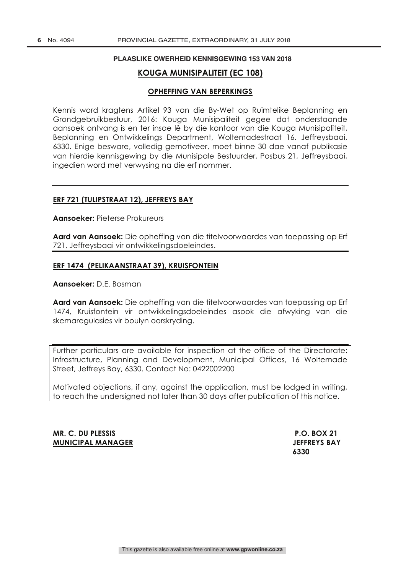#### **PLAASLIKE OWERHEID KENNISGEWING 153 VAN 2018**

# **KOUGA MUNISIPALITEIT (EC 108)**

#### **OPHEFFING VAN BEPERKINGS**

Kennis word kragtens Artikel 93 van die By-Wet op Ruimtelike Beplanning en Grondgebruikbestuur, 2016: Kouga Munisipaliteit gegee dat onderstaande aansoek ontvang is en ter insae lê by die kantoor van die Kouga Munisipaliteit, Beplanning en Ontwikkelings Department, Woltemadestraat 16. Jeffreysbaai, 6330. Enige besware, volledig gemotiveer, moet binne 30 dae vanaf publikasie van hierdie kennisgewing by die Munisipale Bestuurder, Posbus 21, Jeffreysbaai, ingedien word met verwysing na die erf nommer.

#### **ERF 721 (TULIPSTRAAT 12), JEFFREYS BAY**

**Aansoeker:** Pieterse Prokureurs

**Aard van Aansoek:** Die opheffing van die titelvoorwaardes van toepassing op Erf 721, Jeffreysbaai vir ontwikkelingsdoeleindes.

#### **ERF 1474 (PELIKAANSTRAAT 39), KRUISFONTEIN**

**Aansoeker:** D.E. Bosman

**Aard van Aansoek:** Die opheffing van die titelvoorwaardes van toepassing op Erf 1474, Kruisfontein vir ontwikkelingsdoeleindes asook die afwyking van die skemaregulasies vir boulyn oorskryding.

Further particulars are available for inspection at the office of the Directorate: Infrastructure, Planning and Development, Municipal Offices, 16 Woltemade Street, Jeffreys Bay, 6330. Contact No: 0422002200

Motivated objections, if any, against the application, must be lodged in writing, to reach the undersigned not later than 30 days after publication of this notice.

**MR. C. DU PLESSIS P.O. BOX 21 MUNICIPAL MANAGER JEFFREYS BAY**

 **6330**